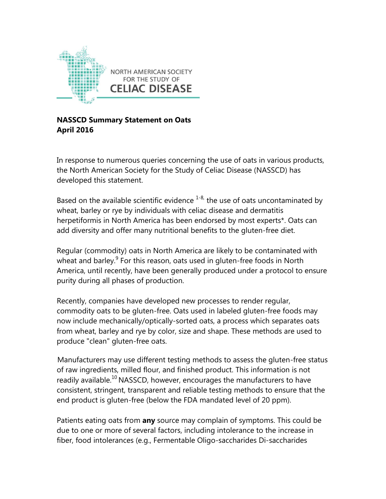

**NASSCD Summary Statement on Oats April 2016**

In response to numerous queries concerning the use of oats in various products, the North American Society for the Study of Celiac Disease (NASSCD) has developed this statement.

Based on the available scientific evidence  $1-8$ , the use of oats uncontaminated by wheat, barley or rye by individuals with celiac disease and dermatitis herpetiformis in North America has been endorsed by most experts\*. Oats can add diversity and offer many nutritional benefits to the gluten-free diet.

Regular (commodity) oats in North America are likely to be contaminated with wheat and barley.<sup>9</sup> For this reason, oats used in gluten-free foods in North America, until recently, have been generally produced under a protocol to ensure purity during all phases of production.

Recently, companies have developed new processes to render regular, commodity oats to be gluten-free. Oats used in labeled gluten-free foods may now include mechanically/optically-sorted oats, a process which separates oats from wheat, barley and rye by color, size and shape. These methods are used to produce "clean" gluten-free oats.

Manufacturers may use different testing methods to assess the gluten-free status of raw ingredients, milled flour, and finished product. This information is not readily available.<sup>10</sup> NASSCD, however, encourages the manufacturers to have consistent, stringent, transparent and reliable testing methods to ensure that the end product is gluten-free (below the FDA mandated level of 20 ppm).

Patients eating oats from **any** source may complain of symptoms. This could be due to one or more of several factors, including intolerance to the increase in fiber, food intolerances (e.g., Fermentable Oligo-saccharides Di-saccharides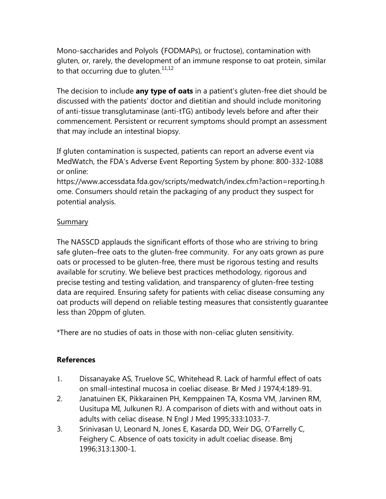Mono-saccharides and Polyols (FODMAPs), or fructose), contamination with gluten, or, rarely, the development of an immune response to oat protein, similar to that occurring due to gluten. $11,12$ 

The decision to include **any type of oats** in a patient's gluten-free diet should be discussed with the patients' doctor and dietitian and should include monitoring of anti-tissue transglutaminase (anti-tTG) antibody levels before and after their commencement. Persistent or recurrent symptoms should prompt an assessment that may include an intestinal biopsy.

If gluten contamination is suspected, patients can report an adverse event via MedWatch, the FDA's Adverse Event Reporting System by phone: 800-332-1088 or online:

https://www.accessdata.fda.gov/scripts/medwatch/index.cfm?action=reporting.h ome. Consumers should retain the packaging of any product they suspect for potential analysis.

## Summary

The NASSCD applauds the significant efforts of those who are striving to bring safe gluten–free oats to the gluten-free community. For any oats grown as pure oats or processed to be gluten-free, there must be rigorous testing and results available for scrutiny. We believe best practices methodology, rigorous and precise testing and testing validation, and transparency of gluten-free testing data are required. Ensuring safety for patients with celiac disease consuming any oat products will depend on reliable testing measures that consistently guarantee less than 20ppm of gluten.

\*There are no studies of oats in those with non-celiac gluten sensitivity.

## **References**

- 1. Dissanayake AS, Truelove SC, Whitehead R. Lack of harmful effect of oats on small-intestinal mucosa in coeliac disease. Br Med J 1974;4:189-91.
- 2. Janatuinen EK, Pikkarainen PH, Kemppainen TA, Kosma VM, Jarvinen RM, Uusitupa MI, Julkunen RJ. A comparison of diets with and without oats in adults with celiac disease. N Engl J Med 1995;333:1033-7.
- 3. Srinivasan U, Leonard N, Jones E, Kasarda DD, Weir DG, O'Farrelly C, Feighery C. Absence of oats toxicity in adult coeliac disease. Bmj 1996;313:1300-1.